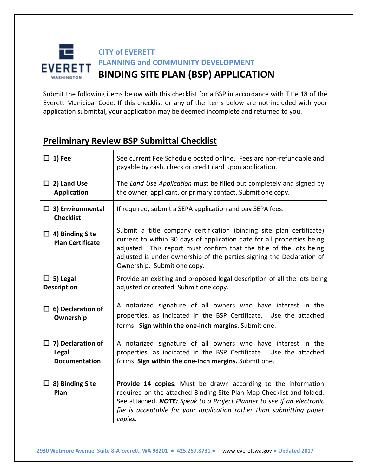#### **CITY of EVERETT PLANNING and COMMUNITY DEVELOPMENT** **EVERETT BINDING SITE PLAN (BSP) APPLICATION WASHINGTON**

Submit the following items below with this checklist for a BSP in accordance with Title 18 of the Everett Municipal Code. If this checklist or any of the items below are not included with your application submittal, your application may be deemed incomplete and returned to you.

### **Preliminary Review BSP Submittal Checklist**

| $\Box$ 1) Fee                                             | See current Fee Schedule posted online. Fees are non-refundable and<br>payable by cash, check or credit card upon application.                                                                                                                                                                                                |
|-----------------------------------------------------------|-------------------------------------------------------------------------------------------------------------------------------------------------------------------------------------------------------------------------------------------------------------------------------------------------------------------------------|
| $\Box$ 2) Land Use<br><b>Application</b>                  | The Land Use Application must be filled out completely and signed by<br>the owner, applicant, or primary contact. Submit one copy.                                                                                                                                                                                            |
| $\Box$ 3) Environmental<br><b>Checklist</b>               | If required, submit a SEPA application and pay SEPA fees.                                                                                                                                                                                                                                                                     |
| $\Box$ 4) Binding Site<br><b>Plan Certificate</b>         | Submit a title company certification (binding site plan certificate)<br>current to within 30 days of application date for all properties being<br>adjusted. This report must confirm that the title of the lots being<br>adjusted is under ownership of the parties signing the Declaration of<br>Ownership. Submit one copy. |
| $\Box$ 5) Legal<br><b>Description</b>                     | Provide an existing and proposed legal description of all the lots being<br>adjusted or created. Submit one copy.                                                                                                                                                                                                             |
| $\Box$ 6) Declaration of<br>Ownership                     | A notarized signature of all owners who have interest in the<br>properties, as indicated in the BSP Certificate. Use the attached<br>forms. Sign within the one-inch margins. Submit one.                                                                                                                                     |
| $\Box$ 7) Declaration of<br>Legal<br><b>Documentation</b> | A notarized signature of all owners who have interest in the<br>properties, as indicated in the BSP Certificate. Use the attached<br>forms. Sign within the one-inch margins. Submit one.                                                                                                                                     |
| $\Box$ 8) Binding Site<br>Plan                            | Provide 14 copies. Must be drawn according to the information<br>required on the attached Binding Site Plan Map Checklist and folded.<br>See attached. NOTE: Speak to a Project Planner to see if an electronic<br>file is acceptable for your application rather than submitting paper<br>copies.                            |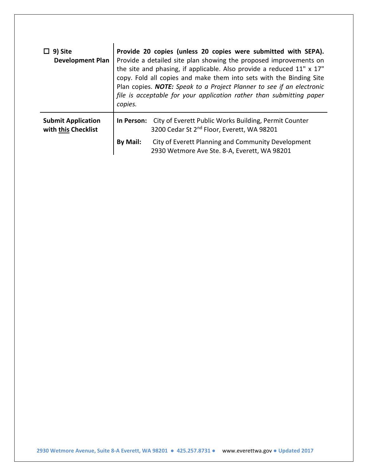| 9) Site<br><b>Development Plan</b>               | Provide 20 copies (unless 20 copies were submitted with SEPA).<br>Provide a detailed site plan showing the proposed improvements on<br>the site and phasing, if applicable. Also provide a reduced 11" x 17"<br>copy. Fold all copies and make them into sets with the Binding Site<br>Plan copies. NOTE: Speak to a Project Planner to see if an electronic<br>file is acceptable for your application rather than submitting paper<br>copies. |                                                                                                                 |  |
|--------------------------------------------------|-------------------------------------------------------------------------------------------------------------------------------------------------------------------------------------------------------------------------------------------------------------------------------------------------------------------------------------------------------------------------------------------------------------------------------------------------|-----------------------------------------------------------------------------------------------------------------|--|
| <b>Submit Application</b><br>with this Checklist | In Person:                                                                                                                                                                                                                                                                                                                                                                                                                                      | City of Everett Public Works Building, Permit Counter<br>3200 Cedar St 2 <sup>nd</sup> Floor, Everett, WA 98201 |  |
|                                                  | By Mail:                                                                                                                                                                                                                                                                                                                                                                                                                                        | City of Everett Planning and Community Development<br>2930 Wetmore Ave Ste. 8-A, Everett, WA 98201              |  |

 **2930 Wetmore Avenue, Suite 8-A Everett, WA 98201 ●****425.257.8731 ●** www.everettwa.gov**●****Updated 2017**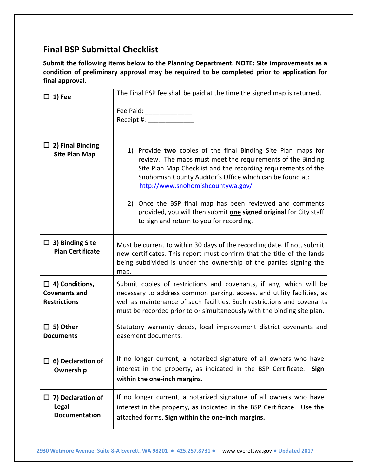### **Final BSP Submittal Checklist**

**Submit the following items below to the Planning Department. NOTE: Site improvements as a condition of preliminary approval may be required to be completed prior to application for final approval.** 

| $\Box$ 1) Fee                                                        | The Final BSP fee shall be paid at the time the signed map is returned.                                                                                                                                                                                                                                                                                                                                                                                                    |  |  |
|----------------------------------------------------------------------|----------------------------------------------------------------------------------------------------------------------------------------------------------------------------------------------------------------------------------------------------------------------------------------------------------------------------------------------------------------------------------------------------------------------------------------------------------------------------|--|--|
|                                                                      | Fee Paid: ________________<br>Receipt #: _______________                                                                                                                                                                                                                                                                                                                                                                                                                   |  |  |
| $\Box$ 2) Final Binding<br><b>Site Plan Map</b>                      | 1) Provide two copies of the final Binding Site Plan maps for<br>review. The maps must meet the requirements of the Binding<br>Site Plan Map Checklist and the recording requirements of the<br>Snohomish County Auditor's Office which can be found at:<br>http://www.snohomishcountywa.gov/<br>2) Once the BSP final map has been reviewed and comments<br>provided, you will then submit one signed original for City staff<br>to sign and return to you for recording. |  |  |
| $\Box$ 3) Binding Site<br><b>Plan Certificate</b>                    | Must be current to within 30 days of the recording date. If not, submit<br>new certificates. This report must confirm that the title of the lands<br>being subdivided is under the ownership of the parties signing the<br>map.                                                                                                                                                                                                                                            |  |  |
| $\Box$ 4) Conditions,<br><b>Covenants and</b><br><b>Restrictions</b> | Submit copies of restrictions and covenants, if any, which will be<br>necessary to address common parking, access, and utility facilities, as<br>well as maintenance of such facilities. Such restrictions and covenants<br>must be recorded prior to or simultaneously with the binding site plan.                                                                                                                                                                        |  |  |
| $\Box$ 5) Other<br><b>Documents</b>                                  | Statutory warranty deeds, local improvement district covenants and<br>easement documents.                                                                                                                                                                                                                                                                                                                                                                                  |  |  |
| $\Box$ 6) Declaration of<br>Ownership                                | If no longer current, a notarized signature of all owners who have<br>interest in the property, as indicated in the BSP Certificate.<br>Sign<br>within the one-inch margins.                                                                                                                                                                                                                                                                                               |  |  |
| 7) Declaration of<br>ப<br><b>Legal</b><br>Documentation              | If no longer current, a notarized signature of all owners who have<br>interest in the property, as indicated in the BSP Certificate. Use the<br>attached forms. Sign within the one-inch margins.                                                                                                                                                                                                                                                                          |  |  |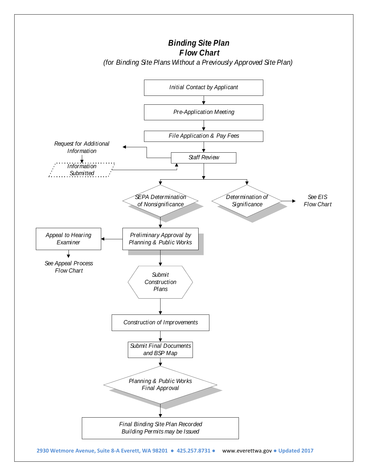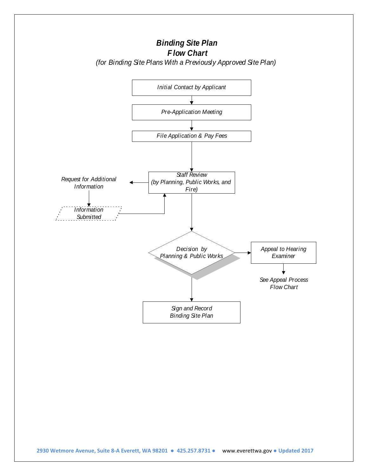

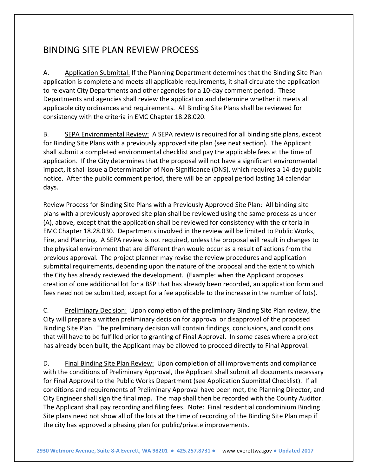# BINDING SITE PLAN REVIEW PROCESS

A. Application Submittal: If the Planning Department determines that the Binding Site Plan application is complete and meets all applicable requirements, it shall circulate the application to relevant City Departments and other agencies for a 10-day comment period. These Departments and agencies shall review the application and determine whether it meets all applicable city ordinances and requirements. All Binding Site Plans shall be reviewed for consistency with the criteria in EMC Chapter 18.28.020.

B. SEPA Environmental Review: A SEPA review is required for all binding site plans, except for Binding Site Plans with a previously approved site plan (see next section). The Applicant shall submit a completed environmental checklist and pay the applicable fees at the time of application. If the City determines that the proposal will not have a significant environmental impact, it shall issue a Determination of Non-Significance (DNS), which requires a 14-day public notice. After the public comment period, there will be an appeal period lasting 14 calendar days.

Review Process for Binding Site Plans with a Previously Approved Site Plan: All binding site plans with a previously approved site plan shall be reviewed using the same process as under (A), above, except that the application shall be reviewed for consistency with the criteria in EMC Chapter 18.28.030. Departments involved in the review will be limited to Public Works, Fire, and Planning. A SEPA review is not required, unless the proposal will result in changes to the physical environment that are different than would occur as a result of actions from the previous approval. The project planner may revise the review procedures and application submittal requirements, depending upon the nature of the proposal and the extent to which the City has already reviewed the development. (Example: when the Applicant proposes creation of one additional lot for a BSP that has already been recorded, an application form and fees need not be submitted, except for a fee applicable to the increase in the number of lots).

C. Preliminary Decision: Upon completion of the preliminary Binding Site Plan review, the City will prepare a written preliminary decision for approval or disapproval of the proposed Binding Site Plan. The preliminary decision will contain findings, conclusions, and conditions that will have to be fulfilled prior to granting of Final Approval. In some cases where a project has already been built, the Applicant may be allowed to proceed directly to Final Approval.

D. Final Binding Site Plan Review: Upon completion of all improvements and compliance with the conditions of Preliminary Approval, the Applicant shall submit all documents necessary for Final Approval to the Public Works Department (see Application Submittal Checklist). If all conditions and requirements of Preliminary Approval have been met, the Planning Director, and City Engineer shall sign the final map. The map shall then be recorded with the County Auditor. The Applicant shall pay recording and filing fees. Note: Final residential condominium Binding Site plans need not show all of the lots at the time of recording of the Binding Site Plan map if the city has approved a phasing plan for public/private improvements.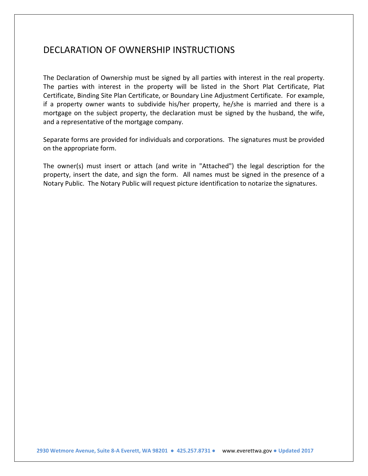#### DECLARATION OF OWNERSHIP INSTRUCTIONS

The Declaration of Ownership must be signed by all parties with interest in the real property. The parties with interest in the property will be listed in the Short Plat Certificate, Plat Certificate, Binding Site Plan Certificate, or Boundary Line Adjustment Certificate. For example, if a property owner wants to subdivide his/her property, he/she is married and there is a mortgage on the subject property, the declaration must be signed by the husband, the wife, and a representative of the mortgage company.

Separate forms are provided for individuals and corporations. The signatures must be provided on the appropriate form.

The owner(s) must insert or attach (and write in "Attached") the legal description for the property, insert the date, and sign the form. All names must be signed in the presence of a Notary Public. The Notary Public will request picture identification to notarize the signatures.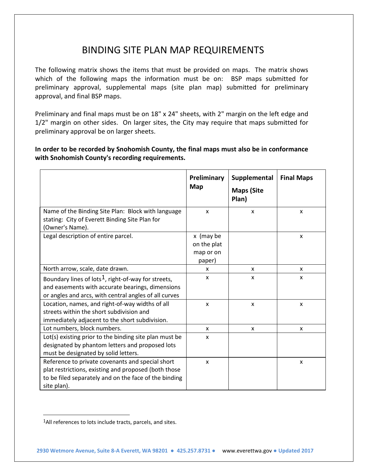# BINDING SITE PLAN MAP REQUIREMENTS

The following matrix shows the items that must be provided on maps. The matrix shows which of the following maps the information must be on: BSP maps submitted for preliminary approval, supplemental maps (site plan map) submitted for preliminary approval, and final BSP maps.

Preliminary and final maps must be on 18" x 24" sheets, with 2" margin on the left edge and 1/2" margin on other sides. On larger sites, the City may require that maps submitted for preliminary approval be on larger sheets.

**In order to be recorded by Snohomish County, the final maps must also be in conformance with Snohomish County's recording requirements.**

|                                                                                                                                                                                  | Preliminary<br>Map                              | Supplemental<br><b>Maps (Site</b><br>Plan) | <b>Final Maps</b>         |
|----------------------------------------------------------------------------------------------------------------------------------------------------------------------------------|-------------------------------------------------|--------------------------------------------|---------------------------|
| Name of the Binding Site Plan: Block with language<br>stating: City of Everett Binding Site Plan for<br>(Owner's Name).                                                          | X                                               | X                                          | X                         |
| Legal description of entire parcel.                                                                                                                                              | x (may be<br>on the plat<br>map or on<br>paper) |                                            | $\boldsymbol{\mathsf{x}}$ |
| North arrow, scale, date drawn.                                                                                                                                                  | x                                               | X                                          | x                         |
| Boundary lines of lots <sup>1</sup> , right-of-way for streets,<br>and easements with accurate bearings, dimensions<br>or angles and arcs, with central angles of all curves     | X                                               | X                                          | X                         |
| Location, names, and right-of-way widths of all<br>streets within the short subdivision and<br>immediately adjacent to the short subdivision.                                    | x                                               | X                                          | X                         |
| Lot numbers, block numbers.                                                                                                                                                      | X                                               | X                                          | X                         |
| Lot(s) existing prior to the binding site plan must be<br>designated by phantom letters and proposed lots<br>must be designated by solid letters.                                | X                                               |                                            |                           |
| Reference to private covenants and special short<br>plat restrictions, existing and proposed (both those<br>to be filed separately and on the face of the binding<br>site plan). | $\boldsymbol{\mathsf{x}}$                       |                                            | X                         |

<span id="page-7-0"></span><sup>&</sup>lt;sup>1</sup>All references to lots include tracts, parcels, and sites.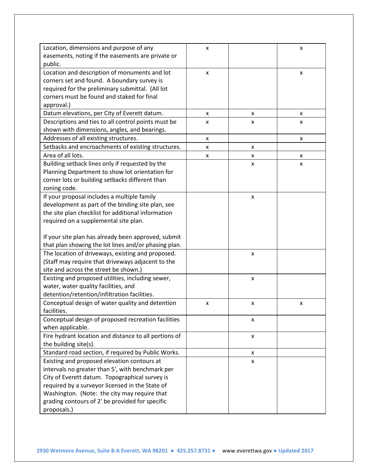| Location, dimensions and purpose of any               | x |   | x                  |
|-------------------------------------------------------|---|---|--------------------|
| easements, noting if the easements are private or     |   |   |                    |
| public.                                               |   |   |                    |
| Location and description of monuments and lot         | x |   | x                  |
| corners set and found. A boundary survey is           |   |   |                    |
| required for the preliminary submittal. (All lot      |   |   |                    |
| corners must be found and staked for final            |   |   |                    |
| approval.)                                            |   |   |                    |
| Datum elevations, per City of Everett datum.          | x | X | X                  |
| Descriptions and ties to all control points must be   | x | X | X                  |
| shown with dimensions, angles, and bearings.          |   |   |                    |
| Addresses of all existing structures.                 | x |   | x                  |
| Setbacks and encroachments of existing structures.    | x | X |                    |
| Area of all lots.                                     | x | x | x                  |
| Building setback lines only if requested by the       |   | X | $\pmb{\times}$     |
| Planning Department to show lot orientation for       |   |   |                    |
| corner lots or building setbacks different than       |   |   |                    |
| zoning code.                                          |   |   |                    |
| If your proposal includes a multiple family           |   | X |                    |
| development as part of the binding site plan, see     |   |   |                    |
| the site plan checklist for additional information    |   |   |                    |
| required on a supplemental site plan.                 |   |   |                    |
|                                                       |   |   |                    |
| If your site plan has already been approved, submit   |   |   |                    |
| that plan showing the lot lines and/or phasing plan.  |   |   |                    |
| The location of driveways, existing and proposed.     |   | X |                    |
| (Staff may require that driveways adjacent to the     |   |   |                    |
| site and across the street be shown.)                 |   |   |                    |
| Existing and proposed utilities, including sewer,     |   | X |                    |
| water, water quality facilities, and                  |   |   |                    |
| detention/retention/infiltration facilities.          |   |   |                    |
| Conceptual design of water quality and detention      | x | X | $\pmb{\mathsf{X}}$ |
| facilities.                                           |   |   |                    |
| Conceptual design of proposed recreation facilities   |   | x |                    |
| when applicable.                                      |   |   |                    |
| Fire hydrant location and distance to all portions of |   | X |                    |
| the building site(s).                                 |   |   |                    |
| Standard road section, if required by Public Works.   |   | x |                    |
| Existing and proposed elevation contours at           |   | X |                    |
| intervals no greater than 5', with benchmark per      |   |   |                    |
| City of Everett datum. Topographical survey is        |   |   |                    |
| required by a surveyor licensed in the State of       |   |   |                    |
| Washington. (Note: the city may require that          |   |   |                    |
| grading contours of 2' be provided for specific       |   |   |                    |
| proposals.)                                           |   |   |                    |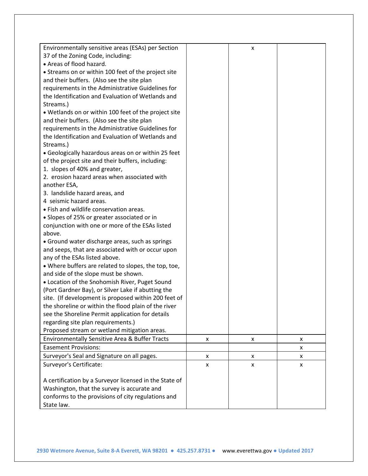| Environmentally sensitive areas (ESAs) per Section<br>37 of the Zoning Code, including:<br>• Areas of flood hazard.<br>• Streams on or within 100 feet of the project site<br>and their buffers. (Also see the site plan<br>requirements in the Administrative Guidelines for<br>the Identification and Evaluation of Wetlands and<br>Streams.)<br>. Wetlands on or within 100 feet of the project site<br>and their buffers. (Also see the site plan<br>requirements in the Administrative Guidelines for<br>the Identification and Evaluation of Wetlands and<br>Streams.)<br>• Geologically hazardous areas on or within 25 feet<br>of the project site and their buffers, including:<br>1. slopes of 40% and greater,<br>2. erosion hazard areas when associated with<br>another ESA,<br>3. landslide hazard areas, and<br>4 seismic hazard areas.<br>• Fish and wildlife conservation areas.<br>• Slopes of 25% or greater associated or in<br>conjunction with one or more of the ESAs listed<br>above.<br>• Ground water discharge areas, such as springs<br>and seeps, that are associated with or occur upon<br>any of the ESAs listed above.<br>• Where buffers are related to slopes, the top, toe,<br>and side of the slope must be shown.<br>• Location of the Snohomish River, Puget Sound<br>(Port Gardner Bay), or Silver Lake if abutting the<br>site. (If development is proposed within 200 feet of<br>the shoreline or within the flood plain of the river<br>see the Shoreline Permit application for details<br>regarding site plan requirements.)<br>Proposed stream or wetland mitigation areas. |   | X              |   |
|--------------------------------------------------------------------------------------------------------------------------------------------------------------------------------------------------------------------------------------------------------------------------------------------------------------------------------------------------------------------------------------------------------------------------------------------------------------------------------------------------------------------------------------------------------------------------------------------------------------------------------------------------------------------------------------------------------------------------------------------------------------------------------------------------------------------------------------------------------------------------------------------------------------------------------------------------------------------------------------------------------------------------------------------------------------------------------------------------------------------------------------------------------------------------------------------------------------------------------------------------------------------------------------------------------------------------------------------------------------------------------------------------------------------------------------------------------------------------------------------------------------------------------------------------------------------------------------------------------------------------|---|----------------|---|
|                                                                                                                                                                                                                                                                                                                                                                                                                                                                                                                                                                                                                                                                                                                                                                                                                                                                                                                                                                                                                                                                                                                                                                                                                                                                                                                                                                                                                                                                                                                                                                                                                          |   |                |   |
| Environmentally Sensitive Area & Buffer Tracts                                                                                                                                                                                                                                                                                                                                                                                                                                                                                                                                                                                                                                                                                                                                                                                                                                                                                                                                                                                                                                                                                                                                                                                                                                                                                                                                                                                                                                                                                                                                                                           | x | x              | x |
| <b>Easement Provisions:</b>                                                                                                                                                                                                                                                                                                                                                                                                                                                                                                                                                                                                                                                                                                                                                                                                                                                                                                                                                                                                                                                                                                                                                                                                                                                                                                                                                                                                                                                                                                                                                                                              |   |                | X |
| Surveyor's Seal and Signature on all pages.                                                                                                                                                                                                                                                                                                                                                                                                                                                                                                                                                                                                                                                                                                                                                                                                                                                                                                                                                                                                                                                                                                                                                                                                                                                                                                                                                                                                                                                                                                                                                                              | x | X              | x |
| Surveyor's Certificate:                                                                                                                                                                                                                                                                                                                                                                                                                                                                                                                                                                                                                                                                                                                                                                                                                                                                                                                                                                                                                                                                                                                                                                                                                                                                                                                                                                                                                                                                                                                                                                                                  | x | $\pmb{\times}$ | X |
| A certification by a Surveyor licensed in the State of<br>Washington, that the survey is accurate and<br>conforms to the provisions of city regulations and<br>State law.                                                                                                                                                                                                                                                                                                                                                                                                                                                                                                                                                                                                                                                                                                                                                                                                                                                                                                                                                                                                                                                                                                                                                                                                                                                                                                                                                                                                                                                |   |                |   |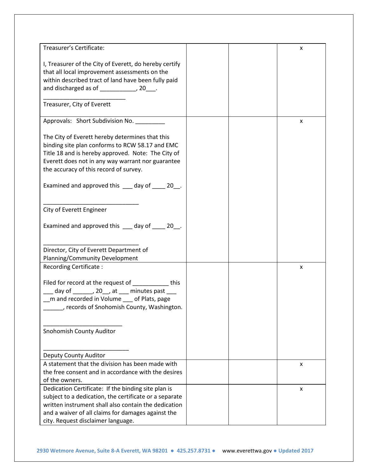| Treasurer's Certificate:                                                                                                                                                                                                                                | x |
|---------------------------------------------------------------------------------------------------------------------------------------------------------------------------------------------------------------------------------------------------------|---|
| I, Treasurer of the City of Everett, do hereby certify<br>that all local improvement assessments on the<br>within described tract of land have been fully paid<br>and discharged as of ______________, 20____.<br>Treasurer, City of Everett            |   |
| Approvals: Short Subdivision No. ________                                                                                                                                                                                                               | x |
| The City of Everett hereby determines that this<br>binding site plan conforms to RCW 58.17 and EMC<br>Title 18 and is hereby approved. Note: The City of<br>Everett does not in any way warrant nor guarantee<br>the accuracy of this record of survey. |   |
| Examined and approved this ___ day of ____ 20__.                                                                                                                                                                                                        |   |
| City of Everett Engineer                                                                                                                                                                                                                                |   |
| Examined and approved this ___ day of ___ 20_.                                                                                                                                                                                                          |   |
| Director, City of Everett Department of<br>Planning/Community Development                                                                                                                                                                               |   |
| Recording Certificate:                                                                                                                                                                                                                                  | x |
| Filed for record at the request of ____________ this<br>$\frac{1}{2}$ day of _______, 20__, at ___ minutes past ___<br>_m and recorded in Volume __ of Plats, page<br>records of Snohomish County, Washington.                                          |   |
| Snohomish County Auditor                                                                                                                                                                                                                                |   |
| Deputy County Auditor                                                                                                                                                                                                                                   |   |
| A statement that the division has been made with                                                                                                                                                                                                        | X |
| the free consent and in accordance with the desires                                                                                                                                                                                                     |   |
| of the owners.                                                                                                                                                                                                                                          |   |
| Dedication Certificate: If the binding site plan is                                                                                                                                                                                                     | x |
| subject to a dedication, the certificate or a separate                                                                                                                                                                                                  |   |
| written instrument shall also contain the dedication                                                                                                                                                                                                    |   |
| and a waiver of all claims for damages against the<br>city. Request disclaimer language.                                                                                                                                                                |   |
|                                                                                                                                                                                                                                                         |   |